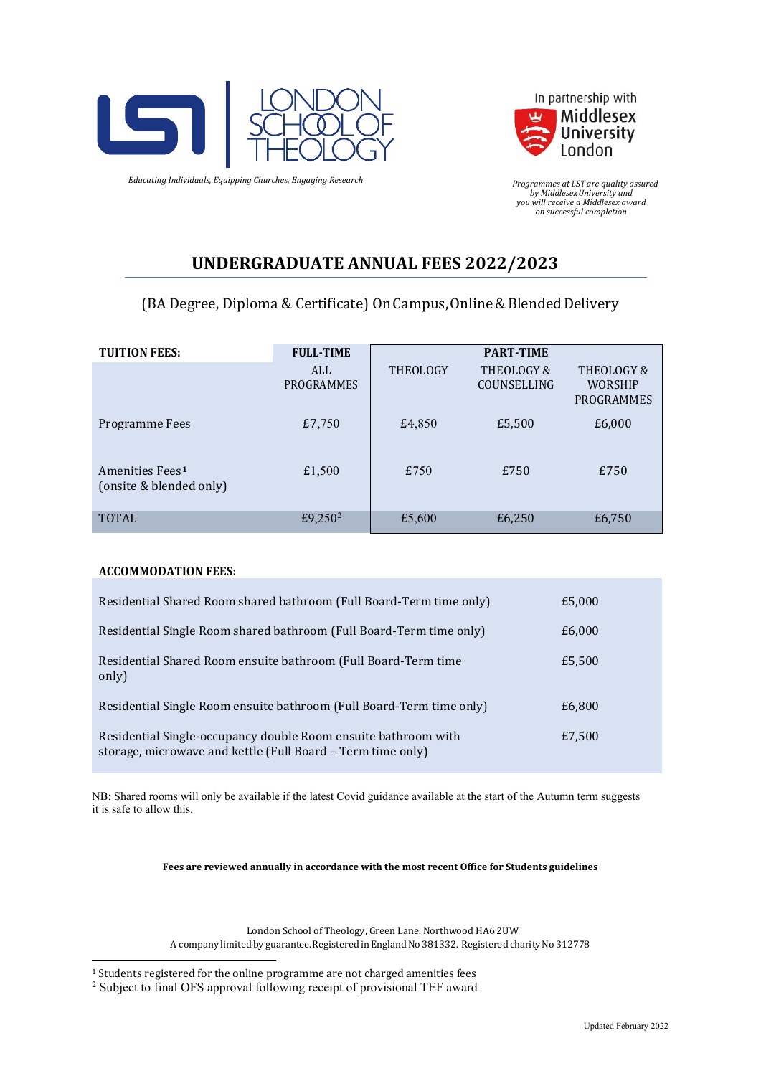



 *Programmes at LST are quality assured by MiddlesexUniversity and you will receive a Middlesex award on successful completion*

# **UNDERGRADUATE ANNUAL FEES 2022/2023**

### (BA Degree, Diploma & Certificate) On Campus, Online & Blended Delivery

| <b>TUITION FEES:</b>                                   | <b>FULL-TIME</b>    |                 | <b>PART-TIME</b>          |                                            |
|--------------------------------------------------------|---------------------|-----------------|---------------------------|--------------------------------------------|
|                                                        | ALL<br>PROGRAMMES   | <b>THEOLOGY</b> | THEOLOGY &<br>COUNSELLING | THEOLOGY &<br><b>WORSHIP</b><br>PROGRAMMES |
| Programme Fees                                         | £7,750              | £4,850          | £5,500                    | £6,000                                     |
| Amenities Fees <sup>1</sup><br>(onsite & blended only) | £1,500              | £750            | £750                      | £750                                       |
| <b>TOTAL</b>                                           | £9,250 <sup>2</sup> | £5,600          | £6,250                    | £6,750                                     |

#### **ACCOMMODATION FEES:**

| Residential Shared Room shared bathroom (Full Board-Term time only)                                                           | £5,000 |
|-------------------------------------------------------------------------------------------------------------------------------|--------|
| Residential Single Room shared bathroom (Full Board-Term time only)                                                           | £6,000 |
| Residential Shared Room ensuite bathroom (Full Board-Term time<br>only)                                                       | £5,500 |
| Residential Single Room ensuite bathroom (Full Board-Term time only)                                                          | £6,800 |
| Residential Single-occupancy double Room ensuite bathroom with<br>storage, microwave and kettle (Full Board - Term time only) | £7,500 |

NB: Shared rooms will only be available if the latest Covid guidance available at the start of the Autumn term suggests it is safe to allow this.

**Fees are reviewed annually in accordance with the most recent Office for Students guidelines**

London School of Theology, Green Lane. Northwood HA6 2UW A company limited by guarantee. Registered in England No 381332. Registered charity No 312778

<span id="page-0-1"></span><span id="page-0-0"></span> $^{\rm 1}$  Students registered for the online programme are not charged amenities fees  $^{\rm 2}$  Subject to final OFS approval following receipt of provisional TEF award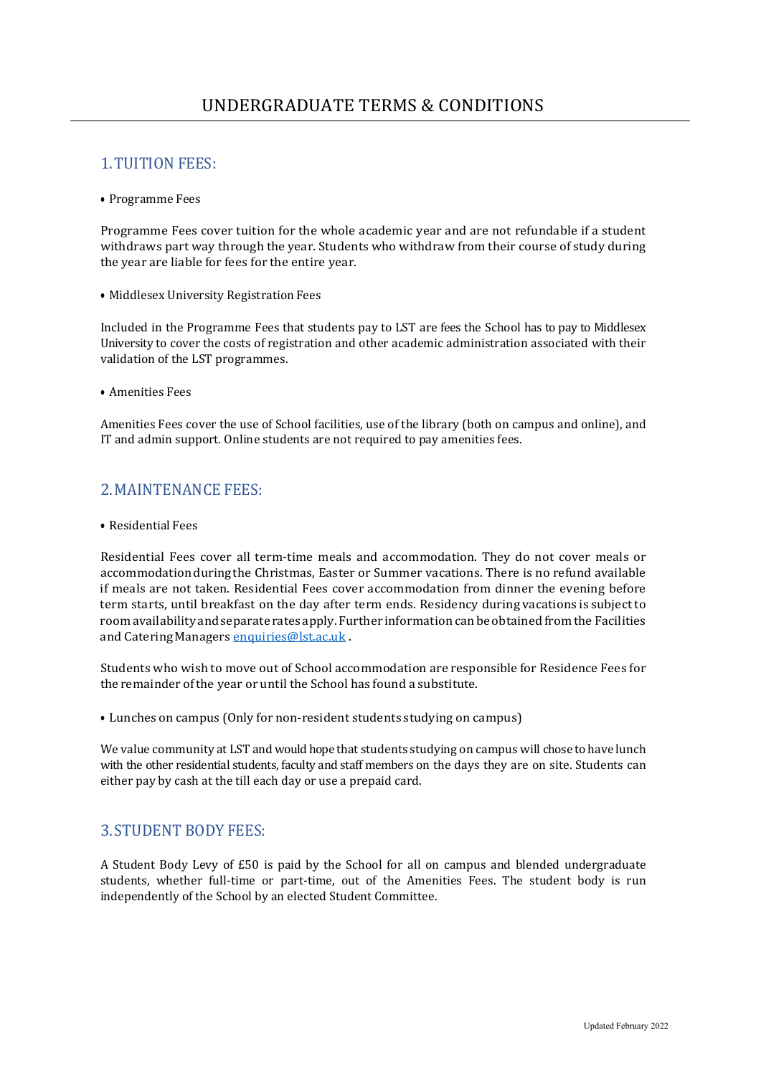### 1.TUITION FEES:

• Programme Fees

Programme Fees cover tuition for the whole academic year and are not refundable if a student withdraws part way through the year. Students who withdraw from their course of study during the year are liable for fees for the entire year.

• Middlesex University Registration Fees

Included in the Programme Fees that students pay to LST are fees the School has to pay to Middlesex University to cover the costs of registration and other academic administration associated with their validation of the LST programmes.

• Amenities Fees

Amenities Fees cover the use of School facilities, use of the library (both on campus and online), and IT and admin support. Online students are not required to pay amenities fees.

# 2.MAINTENANCE FEES:

• Residential Fees

Residential Fees cover all term-time meals and accommodation. They do not cover meals or accommodationduringthe Christmas, Easter or Summer vacations. There is no refund available if meals are not taken. Residential Fees cover accommodation from dinner the evening before term starts, until breakfast on the day after term ends. Residency during vacations is subject to roomavailabilityandseparate ratesapply.Further informationcanbeobtained fromthe Facilities and CateringManagers [enquiries@lst.ac.uk](mailto:enquiries@lst.ac.uk) .

Students who wish to move out of School accommodation are responsible for Residence Fees for the remainder ofthe year or until the School has found a substitute.

• Lunches on campus (Only for non-resident students studying on campus)

We value community at LST and would hope that students studying on campus will chose to have lunch with the other residential students, faculty and staff members on the days they are on site. Students can either pay by cash at the till each day or use a prepaid card.

#### 3.STUDENT BODY FEES:

A Student Body Levy of £50 is paid by the School for all on campus and blended undergraduate students, whether full-time or part-time, out of the Amenities Fees. The student body is run independently of the School by an elected Student Committee.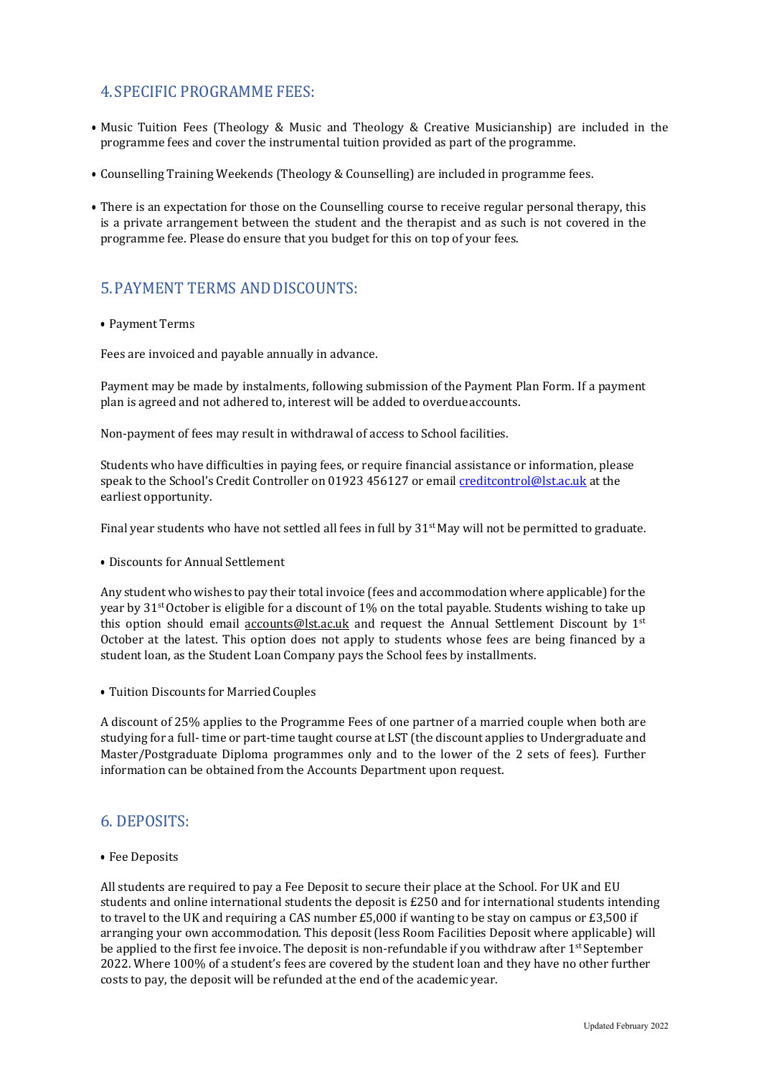# 4.SPECIFIC PROGRAMME FEES:

- Music Tuition Fees (Theology & Music and Theology & Creative Musicianship) are included in the programme fees and cover the instrumental tuition provided as part of the programme.
- Counselling Training Weekends (Theology & Counselling) are included in programme fees.
- There is an expectation for those on the Counselling course to receive regular personal therapy, this is a private arrangement between the student and the therapist and as such is not covered in the programme fee. Please do ensure that you budget for this on top of your fees.

# 5.PAYMENT TERMS ANDDISCOUNTS:

#### • Payment Terms

Fees are invoiced and payable annually in advance.

Payment may be made by instalments, following submission of the Payment Plan Form. If a payment plan is agreed and not adhered to, interest will be added to overdueaccounts.

Non-payment of fees may result in withdrawal of access to School facilities.

Students who have difficulties in paying fees, or require financial assistance or information, please speak to the School's Credit Controller on 01923 456127 or email [creditcontrol@lst.ac.uk](mailto:creditcontrol@lst.ac.uk) at the earliest opportunity.

Final year students who have not settled all fees in full by  $31<sup>st</sup>$  May will not be permitted to graduate.

• Discounts for Annual Settlement

Any student who wishes to pay their total invoice (fees and accommodation where applicable) for the year by 31st October is eligible for a discount of 1% on the total payable. Students wishing to take up this option should email [accounts@lst.ac.uk](mailto:accounts@lst.ac.uk) and request the Annual Settlement Discount by  $1^{st}$ October at the latest. This option does not apply to students whose fees are being financed by a student loan, as the Student Loan Company pays the School fees by installments.

• Tuition Discounts for Married Couples

A discount of 25% applies to the Programme Fees of one partner of a married couple when both are studying for a full- time or part-time taught course at LST (the discount applies to Undergraduate and Master/Postgraduate Diploma programmes only and to the lower of the 2 sets of fees). Further information can be obtained from the Accounts Department upon request.

#### 6. DEPOSITS:

• Fee Deposits

All students are required to pay a Fee Deposit to secure their place at the School. For UK and EU students and online international students the deposit is £250 and for international students intending to travel to the UK and requiring a CAS number £5,000 if wanting to be stay on campus or £3,500 if arranging your own accommodation. This deposit (less Room Facilities Deposit where applicable) will be applied to the first fee invoice. The deposit is non-refundable if you withdraw after 1<sup>st</sup> September 2022. Where 100% of a student's fees are covered by the student loan and they have no other further costs to pay, the deposit will be refunded at the end of the academic year.